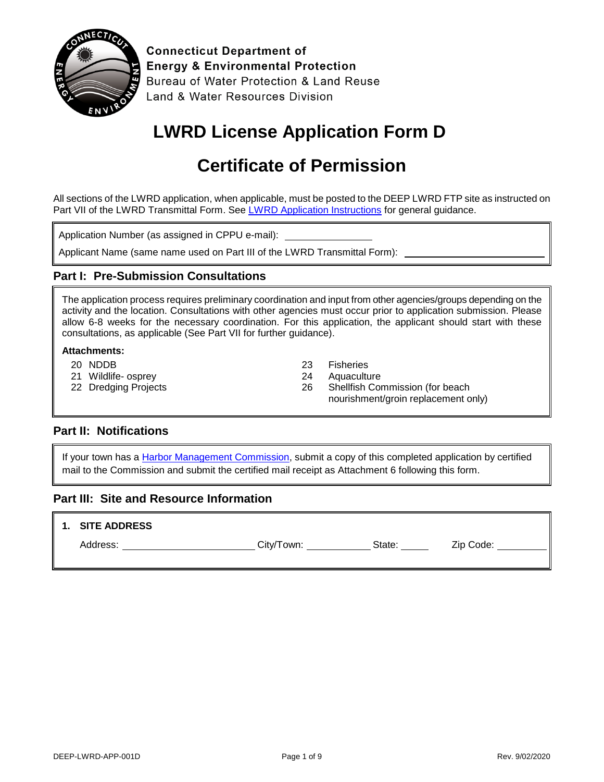

**Connecticut Department of Energy & Environmental Protection** Bureau of Water Protection & Land Reuse Land & Water Resources Division

# **LWRD License Application Form D**

# **Certificate of Permission**

All sections of the LWRD application, when applicable, must be posted to the DEEP LWRD FTP site as instructed on Part VII of the LWRD Transmittal Form. See [LWRD Application Instructions](https://portal.ct.gov/-/media/DEEP/Permits_and_Licenses/Land_Use_Permits/LWRD/LWRDinstpdf.pdf?la=en) for general guidance.

Application Number (as assigned in CPPU e-mail):

Applicant Name (same name used on Part III of the LWRD Transmittal Form):

### **Part I: Pre-Submission Consultations**

The application process requires preliminary coordination and input from other agencies/groups depending on the activity and the location. Consultations with other agencies must occur prior to application submission. Please allow 6-8 weeks for the necessary coordination. For this application, the applicant should start with these consultations, as applicable (See Part VII for further guidance).

#### **Attachments:**

- 20 NDDB
- 21 Wildlife- osprey
- 22 Dredging Projects
- 23 Fisheries
- 24 Aquaculture
- 26 Shellfish Commission (for beach nourishment/groin replacement only)

#### **Part II: Notifications**

If your town has a [Harbor Management Commission,](https://portal.ct.gov/-/media/DEEP/coastal-resources/coastal_management/HarborManagementCommissions412019pdf.pdf?la=en) submit a copy of this completed application by certified mail to the Commission and submit the certified mail receipt as Attachment 6 following this form.

#### **Part III: Site and Resource Information**

#### **1. SITE ADDRESS**

Address: City/Town: State: Zip Code: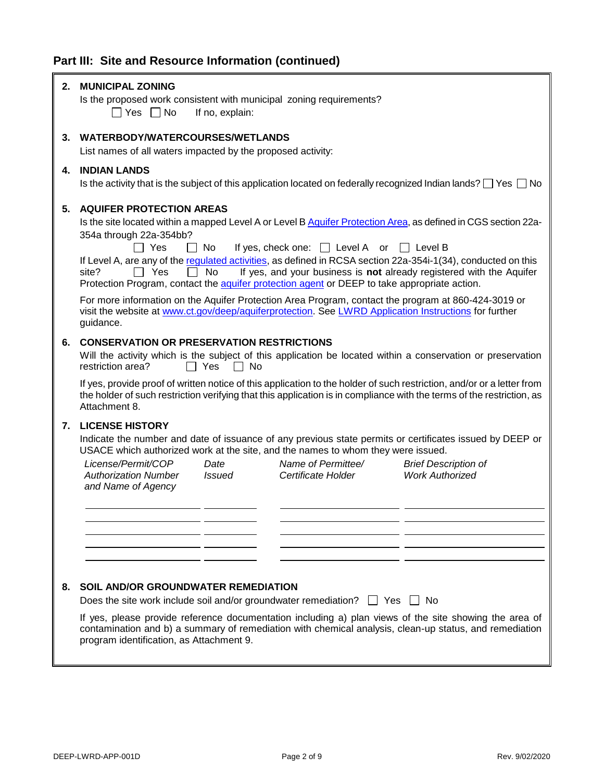## **Part III: Site and Resource Information (continued)**

| 2. | <b>MUNICIPAL ZONING</b><br>Is the proposed work consistent with municipal zoning requirements?<br>∩ Yes ∩ No<br>If no, explain:                                                                                                                                                                                                                                                                                                                                                                                                                                            |
|----|----------------------------------------------------------------------------------------------------------------------------------------------------------------------------------------------------------------------------------------------------------------------------------------------------------------------------------------------------------------------------------------------------------------------------------------------------------------------------------------------------------------------------------------------------------------------------|
| 3. | WATERBODY/WATERCOURSES/WETLANDS<br>List names of all waters impacted by the proposed activity:                                                                                                                                                                                                                                                                                                                                                                                                                                                                             |
| 4. | <b>INDIAN LANDS</b><br>Is the activity that is the subject of this application located on federally recognized Indian lands? $\Box$ Yes $\Box$ No                                                                                                                                                                                                                                                                                                                                                                                                                          |
| 5. | <b>AQUIFER PROTECTION AREAS</b><br>Is the site located within a mapped Level A or Level B Aquifer Protection Area, as defined in CGS section 22a-<br>354a through 22a-354bb?<br>Π Yes<br>If yes, check one: $\Box$ Level A or<br>l I No<br>I Level B<br>If Level A, are any of the regulated activities, as defined in RCSA section 22a-354i-1(34), conducted on this<br>Yes<br><b>No</b><br>If yes, and your business is not already registered with the Aquifer<br>site?<br>Protection Program, contact the aquifer protection agent or DEEP to take appropriate action. |
|    | For more information on the Aquifer Protection Area Program, contact the program at 860-424-3019 or<br>visit the website at www.ct.gov/deep/aquiferprotection. See LWRD Application Instructions for further<br>guidance.                                                                                                                                                                                                                                                                                                                                                  |
| 6. | <b>CONSERVATION OR PRESERVATION RESTRICTIONS</b><br>Will the activity which is the subject of this application be located within a conservation or preservation<br>restriction area?<br>l I Yes<br>No.<br>$\Box$                                                                                                                                                                                                                                                                                                                                                           |
|    | If yes, provide proof of written notice of this application to the holder of such restriction, and/or or a letter from<br>the holder of such restriction verifying that this application is in compliance with the terms of the restriction, as<br>Attachment 8.                                                                                                                                                                                                                                                                                                           |
| 7. | <b>LICENSE HISTORY</b><br>Indicate the number and date of issuance of any previous state permits or certificates issued by DEEP or<br>USACE which authorized work at the site, and the names to whom they were issued.<br>License/Permit/COP<br>Name of Permittee/<br><b>Brief Description of</b><br>Date<br><b>Work Authorized</b><br><b>Authorization Number</b><br><b>Issued</b><br>Certificate Holder<br>and Name of Agency                                                                                                                                            |
| 8. | <b>SOIL AND/OR GROUNDWATER REMEDIATION</b><br>Does the site work include soil and/or groundwater remediation? $\Box$ Yes $\Box$ No<br>If yes, please provide reference documentation including a) plan views of the site showing the area of<br>contamination and b) a summary of remediation with chemical analysis, clean-up status, and remediation<br>program identification, as Attachment 9.                                                                                                                                                                         |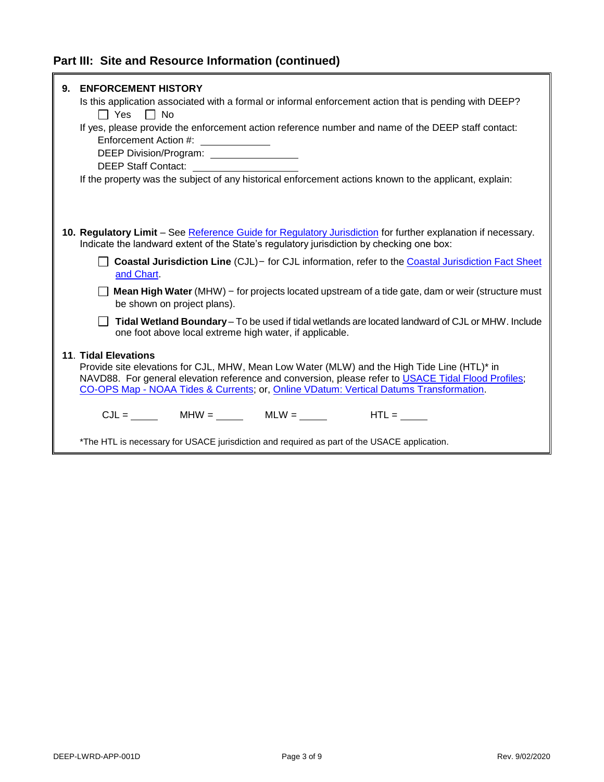| 9. | <b>ENFORCEMENT HISTORY</b><br>Is this application associated with a formal or informal enforcement action that is pending with DEEP?<br>$\Box$ Yes $\Box$ No<br>If yes, please provide the enforcement action reference number and name of the DEEP staff contact:<br>Enforcement Action #: _____________<br>DEEP Division/Program: _________________<br><b>DEEP Staff Contact:</b><br><u> 1989 - Jan Stein Stein Stein Stein Stein Stein Stein Stein Stein Stein Stein Stein Stein Stein Stein Stein S</u><br>If the property was the subject of any historical enforcement actions known to the applicant, explain: |
|----|-----------------------------------------------------------------------------------------------------------------------------------------------------------------------------------------------------------------------------------------------------------------------------------------------------------------------------------------------------------------------------------------------------------------------------------------------------------------------------------------------------------------------------------------------------------------------------------------------------------------------|
|    | 10. Regulatory Limit – See Reference Guide for Regulatory Jurisdiction for further explanation if necessary.<br>Indicate the landward extent of the State's regulatory jurisdiction by checking one box:<br>Coastal Jurisdiction Line (CJL) - for CJL information, refer to the Coastal Jurisdiction Fact Sheet<br>and Chart.                                                                                                                                                                                                                                                                                         |
|    | <b>Mean High Water</b> (MHW) – for projects located upstream of a tide gate, dam or weir (structure must<br>be shown on project plans).                                                                                                                                                                                                                                                                                                                                                                                                                                                                               |
|    | Tidal Wetland Boundary - To be used if tidal wetlands are located landward of CJL or MHW. Include<br>one foot above local extreme high water, if applicable.                                                                                                                                                                                                                                                                                                                                                                                                                                                          |
|    | <b>11. Tidal Elevations</b><br>Provide site elevations for CJL, MHW, Mean Low Water (MLW) and the High Tide Line (HTL)* in<br>NAVD88. For general elevation reference and conversion, please refer to USACE Tidal Flood Profiles;<br>CO-OPS Map - NOAA Tides & Currents; or, Online VDatum: Vertical Datums Transformation.                                                                                                                                                                                                                                                                                           |
|    | $CJL =$ MHW = MLW = MLW = MLW = $HTL =$                                                                                                                                                                                                                                                                                                                                                                                                                                                                                                                                                                               |
|    | *The HTL is necessary for USACE jurisdiction and required as part of the USACE application.                                                                                                                                                                                                                                                                                                                                                                                                                                                                                                                           |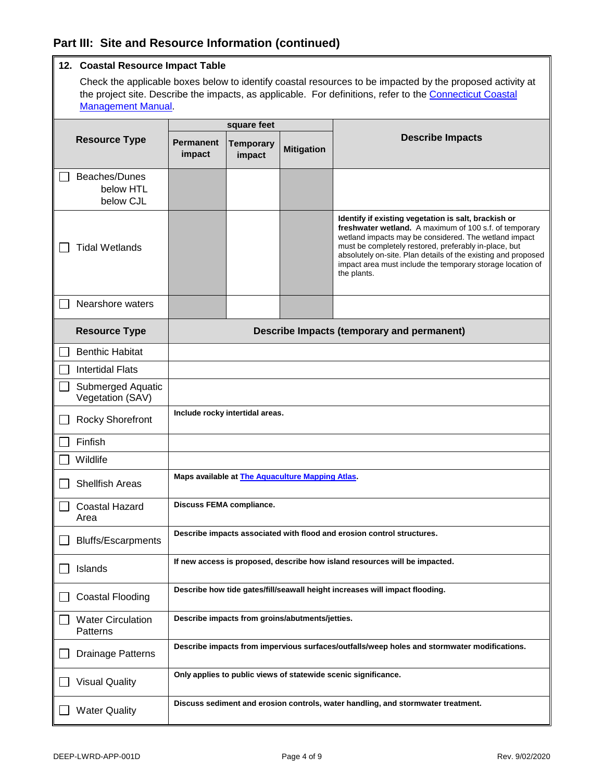### **Part III: Site and Resource Information (continued)**

|                                         | 12. Coastal Resource Impact Table                                                                                                                                                                                     |                                 |                   |                                                                                                                                                                                                                                                                                                                                                                                |
|-----------------------------------------|-----------------------------------------------------------------------------------------------------------------------------------------------------------------------------------------------------------------------|---------------------------------|-------------------|--------------------------------------------------------------------------------------------------------------------------------------------------------------------------------------------------------------------------------------------------------------------------------------------------------------------------------------------------------------------------------|
|                                         | Check the applicable boxes below to identify coastal resources to be impacted by the proposed activity at<br>the project site. Describe the impacts, as applicable. For definitions, refer to the Connecticut Coastal |                                 |                   |                                                                                                                                                                                                                                                                                                                                                                                |
|                                         | <b>Management Manual.</b>                                                                                                                                                                                             |                                 |                   |                                                                                                                                                                                                                                                                                                                                                                                |
|                                         |                                                                                                                                                                                                                       | square feet                     |                   |                                                                                                                                                                                                                                                                                                                                                                                |
| <b>Resource Type</b>                    | <b>Permanent</b><br>impact                                                                                                                                                                                            | <b>Temporary</b><br>impact      | <b>Mitigation</b> | <b>Describe Impacts</b>                                                                                                                                                                                                                                                                                                                                                        |
| Beaches/Dunes<br>below HTL<br>below CJL |                                                                                                                                                                                                                       |                                 |                   |                                                                                                                                                                                                                                                                                                                                                                                |
| <b>Tidal Wetlands</b>                   |                                                                                                                                                                                                                       |                                 |                   | Identify if existing vegetation is salt, brackish or<br>freshwater wetland. A maximum of 100 s.f. of temporary<br>wetland impacts may be considered. The wetland impact<br>must be completely restored, preferably in-place, but<br>absolutely on-site. Plan details of the existing and proposed<br>impact area must include the temporary storage location of<br>the plants. |
| Nearshore waters                        |                                                                                                                                                                                                                       |                                 |                   |                                                                                                                                                                                                                                                                                                                                                                                |
| <b>Resource Type</b>                    |                                                                                                                                                                                                                       |                                 |                   | <b>Describe Impacts (temporary and permanent)</b>                                                                                                                                                                                                                                                                                                                              |
| <b>Benthic Habitat</b>                  |                                                                                                                                                                                                                       |                                 |                   |                                                                                                                                                                                                                                                                                                                                                                                |
| <b>Intertidal Flats</b>                 |                                                                                                                                                                                                                       |                                 |                   |                                                                                                                                                                                                                                                                                                                                                                                |
| Submerged Aquatic<br>Vegetation (SAV)   |                                                                                                                                                                                                                       |                                 |                   |                                                                                                                                                                                                                                                                                                                                                                                |
| <b>Rocky Shorefront</b>                 |                                                                                                                                                                                                                       | Include rocky intertidal areas. |                   |                                                                                                                                                                                                                                                                                                                                                                                |
| Finfish                                 |                                                                                                                                                                                                                       |                                 |                   |                                                                                                                                                                                                                                                                                                                                                                                |
| Wildlife                                |                                                                                                                                                                                                                       |                                 |                   |                                                                                                                                                                                                                                                                                                                                                                                |
| <b>Shellfish Areas</b>                  | Maps available at The Aquaculture Mapping Atlas.                                                                                                                                                                      |                                 |                   |                                                                                                                                                                                                                                                                                                                                                                                |
| Coastal Hazard<br>Area                  | <b>Discuss FEMA compliance.</b>                                                                                                                                                                                       |                                 |                   |                                                                                                                                                                                                                                                                                                                                                                                |
| <b>Bluffs/Escarpments</b>               | Describe impacts associated with flood and erosion control structures.                                                                                                                                                |                                 |                   |                                                                                                                                                                                                                                                                                                                                                                                |
| Islands                                 | If new access is proposed, describe how island resources will be impacted.                                                                                                                                            |                                 |                   |                                                                                                                                                                                                                                                                                                                                                                                |
| <b>Coastal Flooding</b>                 | Describe how tide gates/fill/seawall height increases will impact flooding.                                                                                                                                           |                                 |                   |                                                                                                                                                                                                                                                                                                                                                                                |
| <b>Water Circulation</b><br>Patterns    | Describe impacts from groins/abutments/jetties.<br>Describe impacts from impervious surfaces/outfalls/weep holes and stormwater modifications.                                                                        |                                 |                   |                                                                                                                                                                                                                                                                                                                                                                                |
| <b>Drainage Patterns</b>                |                                                                                                                                                                                                                       |                                 |                   |                                                                                                                                                                                                                                                                                                                                                                                |
| <b>Visual Quality</b>                   | Only applies to public views of statewide scenic significance.                                                                                                                                                        |                                 |                   |                                                                                                                                                                                                                                                                                                                                                                                |
| <b>Water Quality</b>                    | Discuss sediment and erosion controls, water handling, and stormwater treatment.                                                                                                                                      |                                 |                   |                                                                                                                                                                                                                                                                                                                                                                                |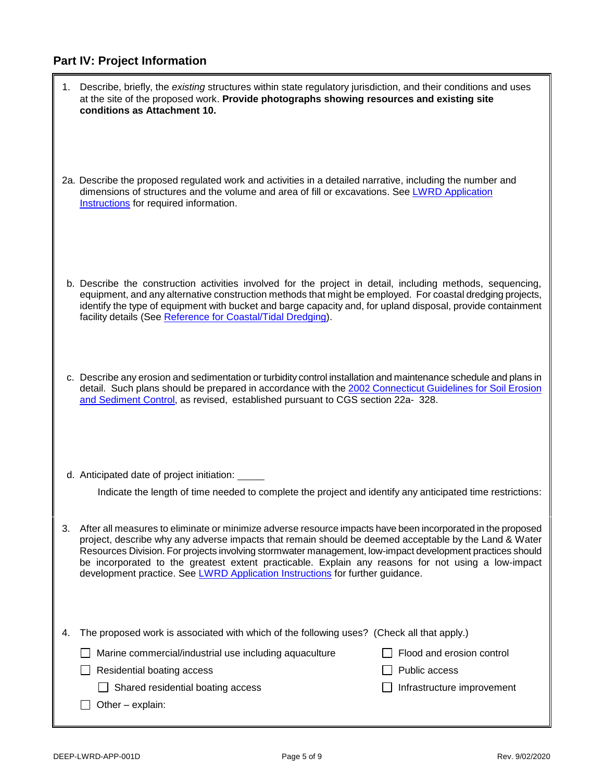## **Part IV: Project Information**

|    | 1. Describe, briefly, the existing structures within state regulatory jurisdiction, and their conditions and uses<br>at the site of the proposed work. Provide photographs showing resources and existing site<br>conditions as Attachment 10.                                                                                                                                                                                                                                                                           |                            |
|----|--------------------------------------------------------------------------------------------------------------------------------------------------------------------------------------------------------------------------------------------------------------------------------------------------------------------------------------------------------------------------------------------------------------------------------------------------------------------------------------------------------------------------|----------------------------|
|    | 2a. Describe the proposed regulated work and activities in a detailed narrative, including the number and<br>dimensions of structures and the volume and area of fill or excavations. See LWRD Application<br>Instructions for required information.                                                                                                                                                                                                                                                                     |                            |
|    | b. Describe the construction activities involved for the project in detail, including methods, sequencing,<br>equipment, and any alternative construction methods that might be employed. For coastal dredging projects,<br>identify the type of equipment with bucket and barge capacity and, for upland disposal, provide containment<br>facility details (See Reference for Coastal/Tidal Dredging).                                                                                                                  |                            |
|    | c. Describe any erosion and sedimentation or turbidity control installation and maintenance schedule and plans in<br>detail. Such plans should be prepared in accordance with the 2002 Connecticut Guidelines for Soil Erosion<br>and Sediment Control, as revised, established pursuant to CGS section 22a- 328.                                                                                                                                                                                                        |                            |
|    | d. Anticipated date of project initiation:                                                                                                                                                                                                                                                                                                                                                                                                                                                                               |                            |
|    | Indicate the length of time needed to complete the project and identify any anticipated time restrictions:                                                                                                                                                                                                                                                                                                                                                                                                               |                            |
| 3. | After all measures to eliminate or minimize adverse resource impacts have been incorporated in the proposed<br>project, describe why any adverse impacts that remain should be deemed acceptable by the Land & Water<br>Resources Division. For projects involving stormwater management, low-impact development practices should<br>be incorporated to the greatest extent practicable. Explain any reasons for not using a low-impact<br>development practice. See LWRD Application Instructions for further guidance. |                            |
| 4. | The proposed work is associated with which of the following uses? (Check all that apply.)                                                                                                                                                                                                                                                                                                                                                                                                                                |                            |
|    | Marine commercial/industrial use including aquaculture                                                                                                                                                                                                                                                                                                                                                                                                                                                                   | Flood and erosion control  |
|    | Residential boating access                                                                                                                                                                                                                                                                                                                                                                                                                                                                                               | Public access              |
|    | Shared residential boating access<br>Other - explain:                                                                                                                                                                                                                                                                                                                                                                                                                                                                    | Infrastructure improvement |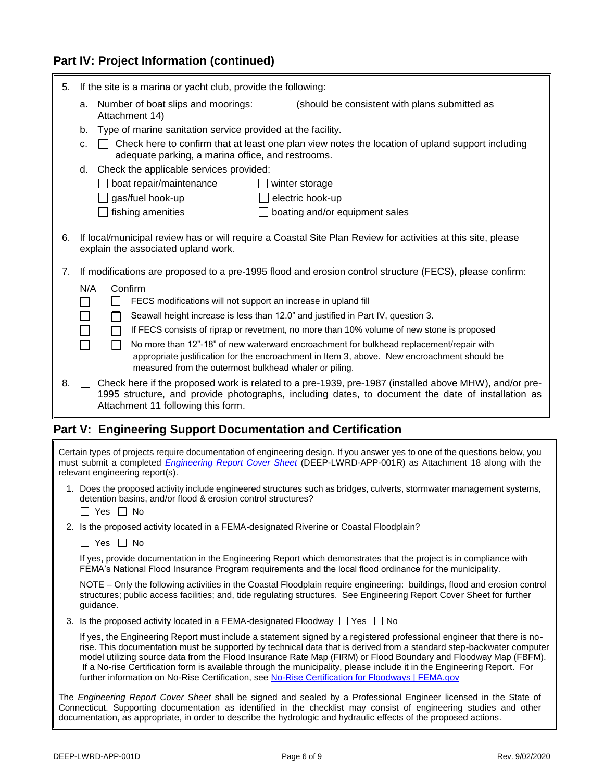### **Part IV: Project Information (continued)**

| 5.                                                          | If the site is a marina or yacht club, provide the following:                                                                                                                                                                                              |  |  |
|-------------------------------------------------------------|------------------------------------------------------------------------------------------------------------------------------------------------------------------------------------------------------------------------------------------------------------|--|--|
|                                                             | a. Number of boat slips and moorings: _______(should be consistent with plans submitted as<br>Attachment 14)                                                                                                                                               |  |  |
|                                                             | Type of marine sanitation service provided at the facility.<br>b.                                                                                                                                                                                          |  |  |
|                                                             | Check here to confirm that at least one plan view notes the location of upland support including<br>C.<br>adequate parking, a marina office, and restrooms.                                                                                                |  |  |
|                                                             | d. Check the applicable services provided:                                                                                                                                                                                                                 |  |  |
|                                                             | boat repair/maintenance<br>winter storage                                                                                                                                                                                                                  |  |  |
|                                                             | $\Box$ gas/fuel hook-up<br>$\Box$ electric hook-up                                                                                                                                                                                                         |  |  |
|                                                             | fishing amenities<br>boating and/or equipment sales                                                                                                                                                                                                        |  |  |
| 6.                                                          | If local/municipal review has or will require a Coastal Site Plan Review for activities at this site, please<br>explain the associated upland work.                                                                                                        |  |  |
| 7.                                                          | If modifications are proposed to a pre-1995 flood and erosion control structure (FECS), please confirm:                                                                                                                                                    |  |  |
|                                                             | N/A<br>Confirm                                                                                                                                                                                                                                             |  |  |
|                                                             | FECS modifications will not support an increase in upland fill<br>$\blacksquare$<br>$\mathsf{L}$                                                                                                                                                           |  |  |
|                                                             | Seawall height increase is less than 12.0" and justified in Part IV, question 3.<br>$\Box$<br>П                                                                                                                                                            |  |  |
|                                                             | If FECS consists of riprap or revetment, no more than 10% volume of new stone is proposed<br>П                                                                                                                                                             |  |  |
|                                                             | No more than 12"-18" of new waterward encroachment for bulkhead replacement/repair with<br>$\Box$<br>appropriate justification for the encroachment in Item 3, above. New encroachment should be<br>measured from the outermost bulkhead whaler or piling. |  |  |
| 8.                                                          | Check here if the proposed work is related to a pre-1939, pre-1987 (installed above MHW), and/or pre-<br>1995 structure, and provide photographs, including dates, to document the date of installation as<br>Attachment 11 following this form.           |  |  |
| Part V: Engineering Support Documentation and Certification |                                                                                                                                                                                                                                                            |  |  |
|                                                             | Certain types of projects require documentation of engineering design. If you answer yes to one of the questions below, you<br>must submit a completed <i>Fngineering Report Cover Sheet</i> (DEFP-I WRD-APP-001R) as Attachment 18 along with the         |  |  |

| $\frac{1}{2}$ of the completed $\frac{1}{2}$ ignoring report bord onder (DEET ENTRE MET COTTY) as made interest to divide with the<br>relevant engineering report(s).                                                                                                                                                                                                                                                                                                                                                                                                                            |
|--------------------------------------------------------------------------------------------------------------------------------------------------------------------------------------------------------------------------------------------------------------------------------------------------------------------------------------------------------------------------------------------------------------------------------------------------------------------------------------------------------------------------------------------------------------------------------------------------|
| 1. Does the proposed activity include engineered structures such as bridges, culverts, stormwater management systems,<br>detention basins, and/or flood & erosion control structures?<br>$\Box$ Yes $\Box$ No                                                                                                                                                                                                                                                                                                                                                                                    |
| 2. Is the proposed activity located in a FEMA-designated Riverine or Coastal Floodplain?                                                                                                                                                                                                                                                                                                                                                                                                                                                                                                         |
| $\Box$ Yes $\Box$ No                                                                                                                                                                                                                                                                                                                                                                                                                                                                                                                                                                             |
| If yes, provide documentation in the Engineering Report which demonstrates that the project is in compliance with<br>FEMA's National Flood Insurance Program requirements and the local flood ordinance for the municipality.                                                                                                                                                                                                                                                                                                                                                                    |
| NOTE – Only the following activities in the Coastal Floodplain require engineering: buildings, flood and erosion control<br>structures; public access facilities; and, tide regulating structures. See Engineering Report Cover Sheet for further<br>guidance.                                                                                                                                                                                                                                                                                                                                   |
| 3. Is the proposed activity located in a FEMA-designated Floodway $\Box$ Yes $\Box$ No                                                                                                                                                                                                                                                                                                                                                                                                                                                                                                           |
| If yes, the Engineering Report must include a statement signed by a registered professional engineer that there is no-<br>rise. This documentation must be supported by technical data that is derived from a standard step-backwater computer<br>model utilizing source data from the Flood Insurance Rate Map (FIRM) or Flood Boundary and Floodway Map (FBFM).<br>If a No-rise Certification form is available through the municipality, please include it in the Engineering Report. For<br>further information on No-Rise Certification, see No-Rise Certification for Floodways   FEMA.gov |
| The Engineering Report Cover Sheet shall be signed and sealed by a Professional Engineer licensed in the State of<br>Connecticut. Supporting documentation as identified in the checklist may consist of engineering studies and other<br>documentation, as appropriate, in order to describe the hydrologic and hydraulic effects of the proposed actions.                                                                                                                                                                                                                                      |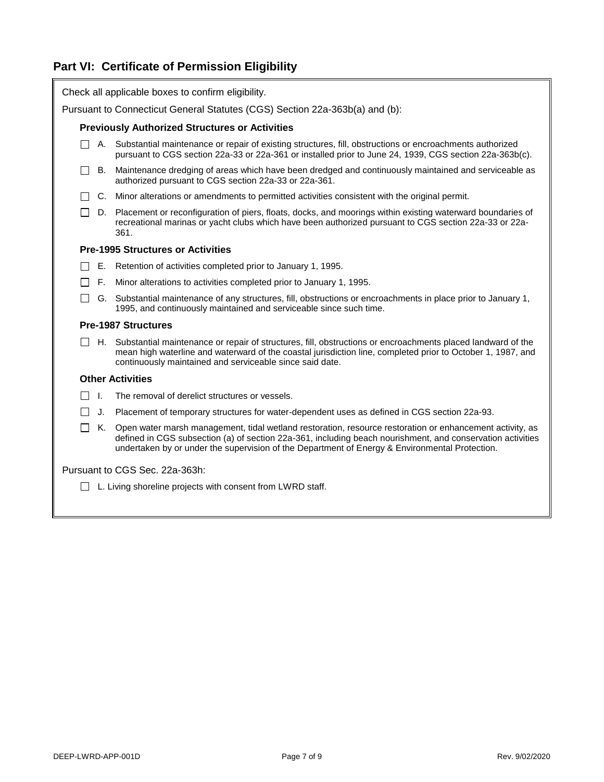## **Part VI: Certificate of Permission Eligibility**

| Check all applicable boxes to confirm eligibility.                          |                                                                                                                                                                                                                                                                                                                             |  |  |
|-----------------------------------------------------------------------------|-----------------------------------------------------------------------------------------------------------------------------------------------------------------------------------------------------------------------------------------------------------------------------------------------------------------------------|--|--|
| Pursuant to Connecticut General Statutes (CGS) Section 22a-363b(a) and (b): |                                                                                                                                                                                                                                                                                                                             |  |  |
|                                                                             | <b>Previously Authorized Structures or Activities</b>                                                                                                                                                                                                                                                                       |  |  |
| $\mathbf{1}$                                                                | A. Substantial maintenance or repair of existing structures, fill, obstructions or encroachments authorized<br>pursuant to CGS section 22a-33 or 22a-361 or installed prior to June 24, 1939, CGS section 22a-363b(c).                                                                                                      |  |  |
| В.                                                                          | Maintenance dredging of areas which have been dredged and continuously maintained and serviceable as<br>authorized pursuant to CGS section 22a-33 or 22a-361.                                                                                                                                                               |  |  |
|                                                                             | C. Minor alterations or amendments to permitted activities consistent with the original permit.                                                                                                                                                                                                                             |  |  |
| $\mathsf{L}$                                                                | D. Placement or reconfiguration of piers, floats, docks, and moorings within existing waterward boundaries of<br>recreational marinas or yacht clubs which have been authorized pursuant to CGS section 22a-33 or 22a-<br>361.                                                                                              |  |  |
|                                                                             | <b>Pre-1995 Structures or Activities</b>                                                                                                                                                                                                                                                                                    |  |  |
| $\Box$                                                                      | E. Retention of activities completed prior to January 1, 1995.                                                                                                                                                                                                                                                              |  |  |
| F.<br>$\mathsf{L}$                                                          | Minor alterations to activities completed prior to January 1, 1995.                                                                                                                                                                                                                                                         |  |  |
|                                                                             | G. Substantial maintenance of any structures, fill, obstructions or encroachments in place prior to January 1,<br>1995, and continuously maintained and serviceable since such time.                                                                                                                                        |  |  |
|                                                                             | <b>Pre-1987 Structures</b>                                                                                                                                                                                                                                                                                                  |  |  |
| $\perp$                                                                     | H. Substantial maintenance or repair of structures, fill, obstructions or encroachments placed landward of the<br>mean high waterline and waterward of the coastal jurisdiction line, completed prior to October 1, 1987, and<br>continuously maintained and serviceable since said date.                                   |  |  |
|                                                                             | <b>Other Activities</b>                                                                                                                                                                                                                                                                                                     |  |  |
| $\blacksquare$<br>$\Box$                                                    | The removal of derelict structures or vessels.                                                                                                                                                                                                                                                                              |  |  |
| $\perp$<br>J.                                                               | Placement of temporary structures for water-dependent uses as defined in CGS section 22a-93.                                                                                                                                                                                                                                |  |  |
| $\Box$                                                                      | K. Open water marsh management, tidal wetland restoration, resource restoration or enhancement activity, as<br>defined in CGS subsection (a) of section 22a-361, including beach nourishment, and conservation activities<br>undertaken by or under the supervision of the Department of Energy & Environmental Protection. |  |  |
| Pursuant to CGS Sec. 22a-363h:                                              |                                                                                                                                                                                                                                                                                                                             |  |  |
| L. Living shoreline projects with consent from LWRD staff.<br>l 1           |                                                                                                                                                                                                                                                                                                                             |  |  |
|                                                                             |                                                                                                                                                                                                                                                                                                                             |  |  |
|                                                                             |                                                                                                                                                                                                                                                                                                                             |  |  |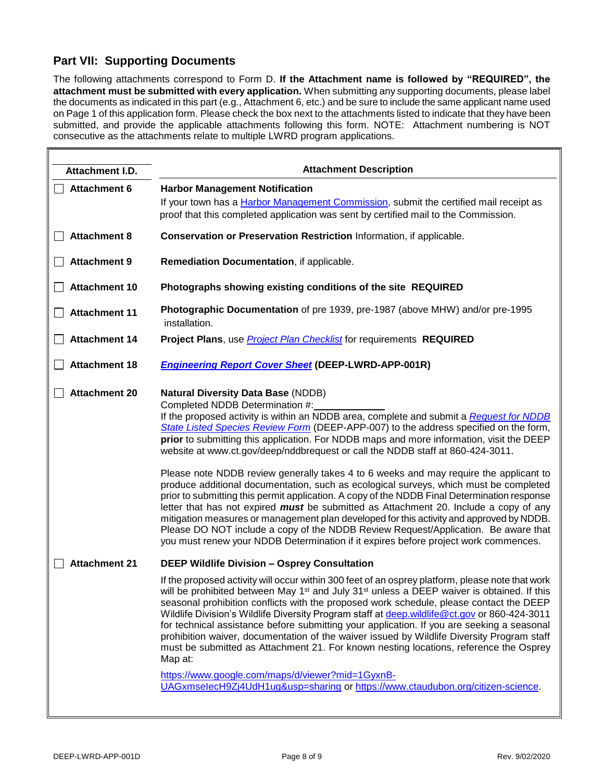### **Part VII: Supporting Documents**

 $\overline{a}$ 

The following attachments correspond to Form D. **If the Attachment name is followed by "REQUIRED", the attachment must be submitted with every application.** When submitting any supporting documents, please label the documents as indicated in this part (e.g., Attachment 6, etc.) and be sure to include the same applicant name used on Page 1 of this application form. Please check the box next to the attachments listed to indicate that they have been submitted, and provide the applicable attachments following this form. NOTE: Attachment numbering is NOT consecutive as the attachments relate to multiple LWRD program applications.

| Attachment I.D.                              | <b>Attachment Description</b>                                                                                                                                                                                                                                                                                                                                                                                                                                                                                                                                                                                                                                                                                                                                                                                                                                                                                                                                                                                                                                                                                                                                                                                                                                                                                                                                                                                                                                                                                                                                                         |
|----------------------------------------------|---------------------------------------------------------------------------------------------------------------------------------------------------------------------------------------------------------------------------------------------------------------------------------------------------------------------------------------------------------------------------------------------------------------------------------------------------------------------------------------------------------------------------------------------------------------------------------------------------------------------------------------------------------------------------------------------------------------------------------------------------------------------------------------------------------------------------------------------------------------------------------------------------------------------------------------------------------------------------------------------------------------------------------------------------------------------------------------------------------------------------------------------------------------------------------------------------------------------------------------------------------------------------------------------------------------------------------------------------------------------------------------------------------------------------------------------------------------------------------------------------------------------------------------------------------------------------------------|
| <b>Attachment 6</b>                          | <b>Harbor Management Notification</b><br>If your town has a Harbor Management Commission, submit the certified mail receipt as<br>proof that this completed application was sent by certified mail to the Commission.                                                                                                                                                                                                                                                                                                                                                                                                                                                                                                                                                                                                                                                                                                                                                                                                                                                                                                                                                                                                                                                                                                                                                                                                                                                                                                                                                                 |
| <b>Attachment 8</b>                          | Conservation or Preservation Restriction Information, if applicable.                                                                                                                                                                                                                                                                                                                                                                                                                                                                                                                                                                                                                                                                                                                                                                                                                                                                                                                                                                                                                                                                                                                                                                                                                                                                                                                                                                                                                                                                                                                  |
| <b>Attachment 9</b>                          | Remediation Documentation, if applicable.                                                                                                                                                                                                                                                                                                                                                                                                                                                                                                                                                                                                                                                                                                                                                                                                                                                                                                                                                                                                                                                                                                                                                                                                                                                                                                                                                                                                                                                                                                                                             |
| <b>Attachment 10</b>                         | Photographs showing existing conditions of the site REQUIRED                                                                                                                                                                                                                                                                                                                                                                                                                                                                                                                                                                                                                                                                                                                                                                                                                                                                                                                                                                                                                                                                                                                                                                                                                                                                                                                                                                                                                                                                                                                          |
| <b>Attachment 11</b>                         | Photographic Documentation of pre 1939, pre-1987 (above MHW) and/or pre-1995<br>installation.                                                                                                                                                                                                                                                                                                                                                                                                                                                                                                                                                                                                                                                                                                                                                                                                                                                                                                                                                                                                                                                                                                                                                                                                                                                                                                                                                                                                                                                                                         |
| <b>Attachment 14</b>                         | Project Plans, use <b>Project Plan Checklist</b> for requirements REQUIRED                                                                                                                                                                                                                                                                                                                                                                                                                                                                                                                                                                                                                                                                                                                                                                                                                                                                                                                                                                                                                                                                                                                                                                                                                                                                                                                                                                                                                                                                                                            |
| <b>Attachment 18</b>                         | <b>Engineering Report Cover Sheet (DEEP-LWRD-APP-001R)</b>                                                                                                                                                                                                                                                                                                                                                                                                                                                                                                                                                                                                                                                                                                                                                                                                                                                                                                                                                                                                                                                                                                                                                                                                                                                                                                                                                                                                                                                                                                                            |
| <b>Attachment 20</b><br><b>Attachment 21</b> | <b>Natural Diversity Data Base (NDDB)</b><br>Completed NDDB Determination #:<br>If the proposed activity is within an NDDB area, complete and submit a Request for NDDB<br>State Listed Species Review Form (DEEP-APP-007) to the address specified on the form,<br>prior to submitting this application. For NDDB maps and more information, visit the DEEP<br>website at www.ct.gov/deep/nddbrequest or call the NDDB staff at 860-424-3011.<br>Please note NDDB review generally takes 4 to 6 weeks and may require the applicant to<br>produce additional documentation, such as ecological surveys, which must be completed<br>prior to submitting this permit application. A copy of the NDDB Final Determination response<br>letter that has not expired <b>must</b> be submitted as Attachment 20. Include a copy of any<br>mitigation measures or management plan developed for this activity and approved by NDDB.<br>Please DO NOT include a copy of the NDDB Review Request/Application. Be aware that<br>you must renew your NDDB Determination if it expires before project work commences.<br><b>DEEP Wildlife Division - Osprey Consultation</b><br>If the proposed activity will occur within 300 feet of an osprey platform, please note that work<br>will be prohibited between May 1 <sup>st</sup> and July 31 <sup>st</sup> unless a DEEP waiver is obtained. If this<br>seasonal prohibition conflicts with the proposed work schedule, please contact the DEEP<br>Wildlife Division's Wildlife Diversity Program staff at deep.wildlife@ct.gov or 860-424-3011 |
|                                              | for technical assistance before submitting your application. If you are seeking a seasonal<br>prohibition waiver, documentation of the waiver issued by Wildlife Diversity Program staff<br>must be submitted as Attachment 21. For known nesting locations, reference the Osprey<br>Map at:<br>https://www.google.com/maps/d/viewer?mid=1GyxnB-<br>UAGxmselecH9Zj4UdH1ug&usp=sharing or https://www.ctaudubon.org/citizen-science.                                                                                                                                                                                                                                                                                                                                                                                                                                                                                                                                                                                                                                                                                                                                                                                                                                                                                                                                                                                                                                                                                                                                                   |

 $\blacksquare$